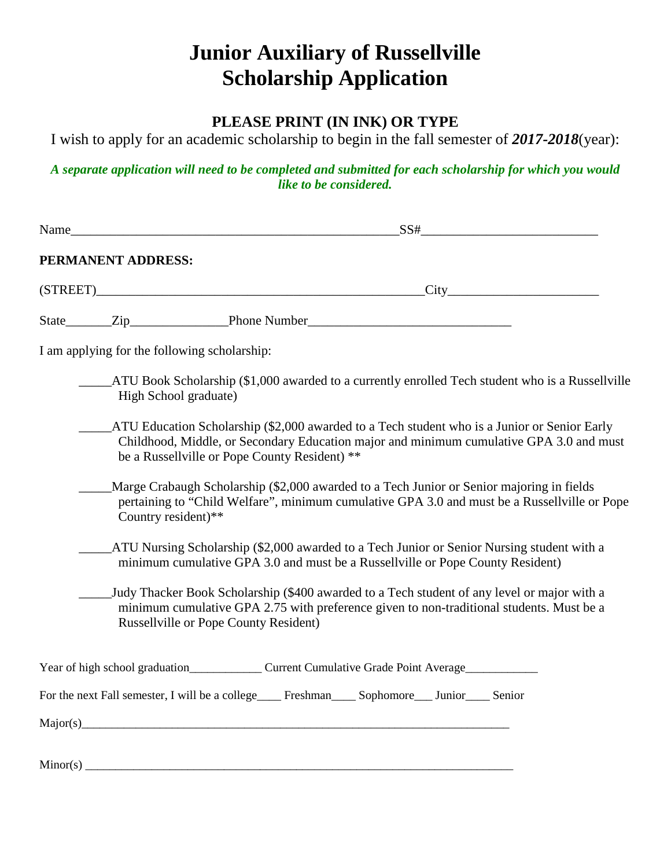# **Junior Auxiliary of Russellville Scholarship Application**

### **PLEASE PRINT (IN INK) OR TYPE**

I wish to apply for an academic scholarship to begin in the fall semester of *2017-2018*(year):

*A separate application will need to be completed and submitted for each scholarship for which you would like to be considered.*

| Name_ |                    | SS#<br><u> 1980 - Johann Stoff, fransk politik (f. 1980)</u>                                                                                                                                                                             |
|-------|--------------------|------------------------------------------------------------------------------------------------------------------------------------------------------------------------------------------------------------------------------------------|
|       | PERMANENT ADDRESS: |                                                                                                                                                                                                                                          |
|       |                    | (STREET) City                                                                                                                                                                                                                            |
|       |                    | State <u>Zip Phone Number</u>                                                                                                                                                                                                            |
|       |                    | I am applying for the following scholarship:                                                                                                                                                                                             |
|       |                    | ATU Book Scholarship (\$1,000 awarded to a currently enrolled Tech student who is a Russellville<br>High School graduate)                                                                                                                |
|       |                    | ATU Education Scholarship (\$2,000 awarded to a Tech student who is a Junior or Senior Early<br>Childhood, Middle, or Secondary Education major and minimum cumulative GPA 3.0 and must<br>be a Russellville or Pope County Resident) ** |
|       |                    | Marge Crabaugh Scholarship (\$2,000 awarded to a Tech Junior or Senior majoring in fields<br>pertaining to "Child Welfare", minimum cumulative GPA 3.0 and must be a Russellville or Pope<br>Country resident)**                         |
|       |                    | ATU Nursing Scholarship (\$2,000 awarded to a Tech Junior or Senior Nursing student with a<br>minimum cumulative GPA 3.0 and must be a Russellville or Pope County Resident)                                                             |
|       |                    | Judy Thacker Book Scholarship (\$400 awarded to a Tech student of any level or major with a<br>minimum cumulative GPA 2.75 with preference given to non-traditional students. Must be a<br><b>Russellville or Pope County Resident)</b>  |
|       |                    |                                                                                                                                                                                                                                          |
|       |                    | For the next Fall semester, I will be a college____ Freshman____ Sophomore___ Junior____ Senior                                                                                                                                          |
|       |                    | Major(s)                                                                                                                                                                                                                                 |
|       |                    |                                                                                                                                                                                                                                          |